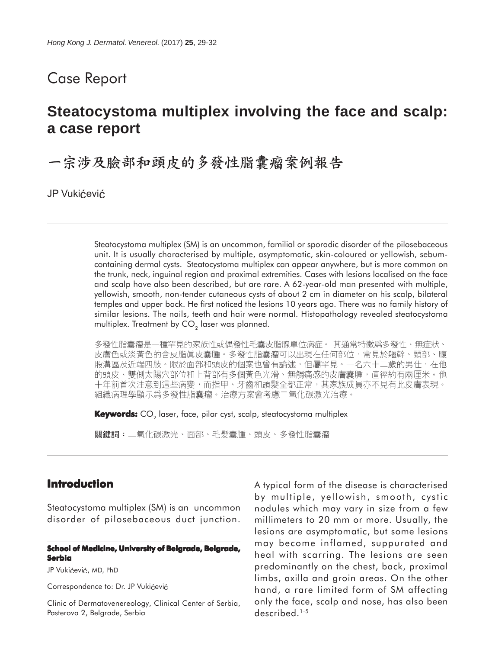## Case Report

# **Steatocystoma multiplex involving the face and scalp: a case report**

一宗涉及臉部和頭皮的多發性脂囊瘤案例報告

JP Vukićević

Steatocystoma multiplex (SM) is an uncommon, familial or sporadic disorder of the pilosebaceous unit. It is usually characterised by multiple, asymptomatic, skin-coloured or yellowish, sebumcontaining dermal cysts. Steatocystoma multiplex can appear anywhere, but is more common on the trunk, neck, inguinal region and proximal extremities. Cases with lesions localised on the face and scalp have also been described, but are rare. A 62-year-old man presented with multiple, yellowish, smooth, non-tender cutaneous cysts of about 2 cm in diameter on his scalp, bilateral temples and upper back. He first noticed the lesions 10 years ago. There was no family history of similar lesions. The nails, teeth and hair were normal. Histopathology revealed steatocystoma multiplex. Treatment by  $CO<sub>2</sub>$  laser was planned.

多發性脂囊瘤是一種罕見的家族性或偶發性毛囊皮脂腺單位病症。 其通常特徵爲多發性、無症狀、 皮膚色或淡黃色的含皮脂眞皮囊腫。多發性脂囊瘤可以出現在任何部位,常見於軀幹、頸部、腹 股溝區及近端四肢。限於面部和頭皮的個案也曾有論述,但屬罕見。一名六十二歲的男仕,在他 的頭皮、雙側太陽穴部位和上背部有多個黃色光滑、無觸痛感的皮膚囊腫,直徑約有兩厘米。他 十年前首次注意到這些病變,而指甲、牙齒和頭髮全都正常,其家族成員亦不見有此皮膚表現。 組織病理學顯示爲多發性脂囊瘤。治療方案會考慮二氧化碳激光治療。

Keywords: CO<sub>2</sub> laser, face, pilar cyst, scalp, steatocystoma multiplex

關鍵詞:二氧化碳激光、面部、毛髮囊腫、頭皮、多發性脂囊瘤

## **Introduction**

Steatocystoma multiplex (SM) is an uncommon disorder of pilosebaceous duct junction.

#### **School of Medicine, University of Belgrade, Belgrade, Serbia**

JP Vukićević, MD, PhD

Correspondence to: Dr. JP Vukićević

Clinic of Dermatovenereology, Clinical Center of Serbia, Pasterova 2, Belgrade, Serbia

A typical form of the disease is characterised by multiple, yellowish, smooth, cystic nodules which may vary in size from a few millimeters to 20 mm or more. Usually, the lesions are asymptomatic, but some lesions may become inflamed, suppurated and heal with scarring. The lesions are seen predominantly on the chest, back, proximal limbs, axilla and groin areas. On the other hand, a rare limited form of SM affecting only the face, scalp and nose, has also been described.<sup>1-5</sup>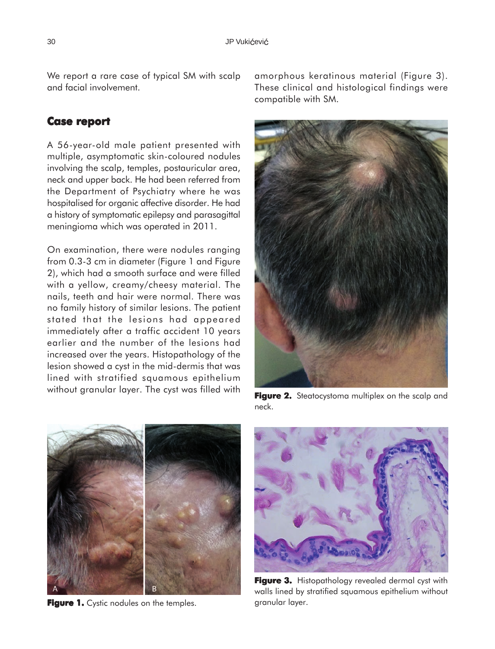We report a rare case of typical SM with scalp and facial involvement.

## **Case report report**

A 56-year-old male patient presented with multiple, asymptomatic skin-coloured nodules involving the scalp, temples, postauricular area, neck and upper back. He had been referred from the Department of Psychiatry where he was hospitalised for organic affective disorder. He had a history of symptomatic epilepsy and parasagittal meningioma which was operated in 2011.

On examination, there were nodules ranging from 0.3-3 cm in diameter (Figure 1 and Figure 2), which had a smooth surface and were filled with a yellow, creamy/cheesy material. The nails, teeth and hair were normal. There was no family history of similar lesions. The patient stated that the lesions had appeared immediately after a traffic accident 10 years earlier and the number of the lesions had increased over the years. Histopathology of the lesion showed a cyst in the mid-dermis that was lined with stratified squamous epithelium without granular layer. The cyst was filled with amorphous keratinous material (Figure 3). These clinical and histological findings were compatible with SM.



**Figure 2.** Steatocystoma multiplex on the scalp and neck.



Figure 1. Cystic nodules on the temples. **Figure 1.** Cystic nodules on the temples.



**Figure 3.** Histopathology revealed dermal cyst with walls lined by stratified squamous epithelium without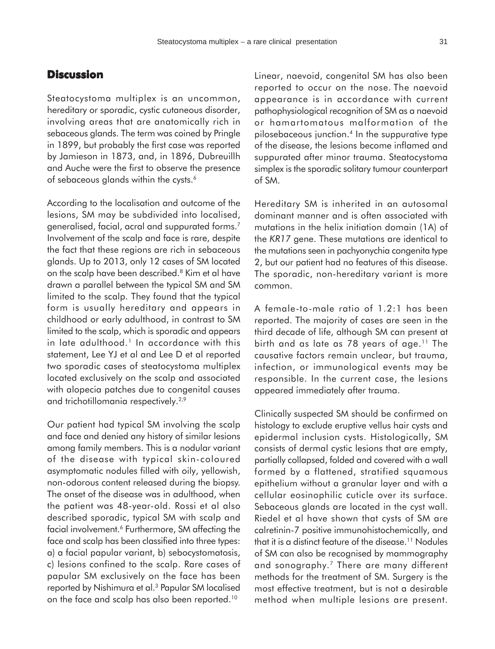## **Discussion**

Steatocystoma multiplex is an uncommon, hereditary or sporadic, cystic cutaneous disorder, involving areas that are anatomically rich in sebaceous glands. The term was coined by Pringle in 1899, but probably the first case was reported by Jamieson in 1873, and, in 1896, Dubreuillh and Auche were the first to observe the presence of sebaceous glands within the cysts.<sup>6</sup>

According to the localisation and outcome of the lesions, SM may be subdivided into localised, generalised, facial, acral and suppurated forms.7 Involvement of the scalp and face is rare, despite the fact that these regions are rich in sebaceous glands. Up to 2013, only 12 cases of SM located on the scalp have been described.<sup>8</sup> Kim et al have drawn a parallel between the typical SM and SM limited to the scalp. They found that the typical form is usually hereditary and appears in childhood or early adulthood, in contrast to SM limited to the scalp, which is sporadic and appears in late adulthood.<sup>1</sup> In accordance with this statement, Lee YJ et al and Lee D et al reported two sporadic cases of steatocystoma multiplex located exclusively on the scalp and associated with alopecia patches due to congenital causes and trichotillomania respectively.<sup>2,9</sup>

Our patient had typical SM involving the scalp and face and denied any history of similar lesions among family members. This is a nodular variant of the disease with typical skin-coloured asymptomatic nodules filled with oily, yellowish, non-odorous content released during the biopsy. The onset of the disease was in adulthood, when the patient was 48-year-old. Rossi et al also described sporadic, typical SM with scalp and facial involvement.<sup>6</sup> Furthermore, SM affecting the face and scalp has been classified into three types: a) a facial papular variant, b) sebocystomatosis, c) lesions confined to the scalp. Rare cases of papular SM exclusively on the face has been reported by Nishimura et al.3 Papular SM localised on the face and scalp has also been reported.10

Linear, naevoid, congenital SM has also been reported to occur on the nose. The naevoid appearance is in accordance with current pathophysiological recognition of SM as a naevoid or hamartomatous malformation of the pilosebaceous junction.4 In the suppurative type of the disease, the lesions become inflamed and suppurated after minor trauma. Steatocystoma simplex is the sporadic solitary tumour counterpart of SM.

Hereditary SM is inherited in an autosomal dominant manner and is often associated with mutations in the helix initiation domain (1A) of the *KR17* gene. These mutations are identical to the mutations seen in pachyonychia congenita type 2, but our patient had no features of this disease. The sporadic, non-hereditary variant is more common.

A female-to-male ratio of 1.2:1 has been reported. The majority of cases are seen in the third decade of life, although SM can present at birth and as late as 78 years of age.<sup>11</sup> The causative factors remain unclear, but trauma, infection, or immunological events may be responsible. In the current case, the lesions appeared immediately after trauma.

Clinically suspected SM should be confirmed on histology to exclude eruptive vellus hair cysts and epidermal inclusion cysts. Histologically, SM consists of dermal cystic lesions that are empty, partially collapsed, folded and covered with a wall formed by a flattened, stratified squamous epithelium without a granular layer and with a cellular eosinophilic cuticle over its surface. Sebaceous glands are located in the cyst wall. Riedel et al have shown that cysts of SM are calretinin-7 positive immunohistochemically, and that it is a distinct feature of the disease.11 Nodules of SM can also be recognised by mammography and sonography.7 There are many different methods for the treatment of SM. Surgery is the most effective treatment, but is not a desirable method when multiple lesions are present.